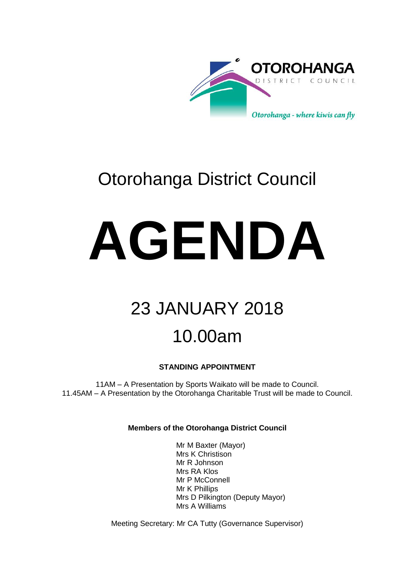

### Otorohanga District Council

# **AGENDA**

## 23 JANUARY 2018 10.00am

#### **STANDING APPOINTMENT**

11AM – A Presentation by Sports Waikato will be made to Council. 11.45AM – A Presentation by the Otorohanga Charitable Trust will be made to Council.

#### **Members of the Otorohanga District Council**

Mr M Baxter (Mayor) Mrs K Christison Mr R Johnson Mrs RA Klos Mr P McConnell Mr K Phillips Mrs D Pilkington (Deputy Mayor) Mrs A Williams

Meeting Secretary: Mr CA Tutty (Governance Supervisor)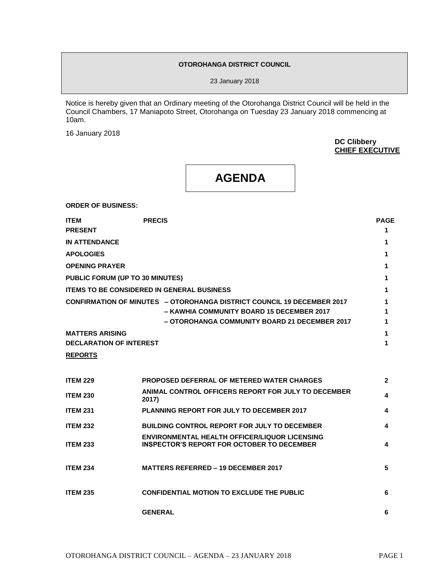#### **OTOROHANGA DISTRICT COUNCIL**

23 January 2018

Notice is hereby given that an Ordinary meeting of the Otorohanga District Council will be held in the Council Chambers, 17 Maniapoto Street, Otorohanga on Tuesday 23 January 2018 commencing at 10am.

16 January 2018

**DC Clibbery CHIEF EXECUTIVE** 

#### **AGENDA**

**ORDER OF BUSINESS:**

| <b>ITEM</b>                    | <b>PRECIS</b>                                                                 | <b>PAGE</b> |
|--------------------------------|-------------------------------------------------------------------------------|-------------|
| <b>PRESENT</b>                 |                                                                               |             |
| <b>IN ATTENDANCE</b>           |                                                                               |             |
| <b>APOLOGIES</b>               |                                                                               |             |
| <b>OPENING PRAYER</b>          |                                                                               |             |
|                                | PUBLIC FORUM (UP TO 30 MINUTES)                                               |             |
|                                | <b>ITEMS TO BE CONSIDERED IN GENERAL BUSINESS</b>                             |             |
|                                | <b>CONFIRMATION OF MINUTES - OTOROHANGA DISTRICT COUNCIL 19 DECEMBER 2017</b> |             |
|                                | - KAWHIA COMMUNITY BOARD 15 DECEMBER 2017                                     |             |
|                                | - OTOROHANGA COMMUNITY BOARD 21 DECEMBER 2017                                 |             |
| <b>MATTERS ARISING</b>         |                                                                               |             |
| <b>DECLARATION OF INTEREST</b> |                                                                               |             |

#### **REPORTS**

| <b>ITEM 229</b> | <b>PROPOSED DEFERRAL OF METERED WATER CHARGES</b>                                                         | $\mathbf{2}$ |
|-----------------|-----------------------------------------------------------------------------------------------------------|--------------|
| <b>ITEM 230</b> | ANIMAL CONTROL OFFICERS REPORT FOR JULY TO DECEMBER<br>2017)                                              | 4            |
| <b>ITEM 231</b> | <b>PLANNING REPORT FOR JULY TO DECEMBER 2017</b>                                                          | 4            |
| <b>ITEM 232</b> | <b>BUILDING CONTROL REPORT FOR JULY TO DECEMBER</b>                                                       | 4            |
| <b>ITEM 233</b> | <b>ENVIRONMENTAL HEALTH OFFICER/LIQUOR LICENSING</b><br><b>INSPECTOR'S REPORT FOR OCTOBER TO DECEMBER</b> | 4            |
| <b>ITEM 234</b> | <b>MATTERS REFERRED - 19 DECEMBER 2017</b>                                                                | 5            |
| <b>ITEM 235</b> | <b>CONFIDENTIAL MOTION TO EXCLUDE THE PUBLIC</b>                                                          | 6            |
|                 | <b>GENERAL</b>                                                                                            | 6            |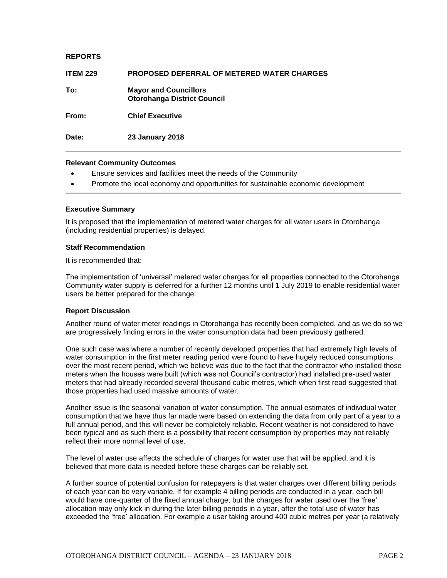#### **REPORTS**

| <b>ITEM 229</b> | <b>PROPOSED DEFERRAL OF METERED WATER CHARGES</b>                  |
|-----------------|--------------------------------------------------------------------|
| To:             | <b>Mayor and Councillors</b><br><b>Otorohanga District Council</b> |
| From:           | <b>Chief Executive</b>                                             |
| Date:           | <b>23 January 2018</b>                                             |

#### **Relevant Community Outcomes**

- Ensure services and facilities meet the needs of the Community
- Promote the local economy and opportunities for sustainable economic development

#### **Executive Summary**

It is proposed that the implementation of metered water charges for all water users in Otorohanga (including residential properties) is delayed.

#### **Staff Recommendation**

It is recommended that:

The implementation of 'universal' metered water charges for all properties connected to the Otorohanga Community water supply is deferred for a further 12 months until 1 July 2019 to enable residential water users be better prepared for the change.

#### **Report Discussion**

Another round of water meter readings in Otorohanga has recently been completed, and as we do so we are progressively finding errors in the water consumption data had been previously gathered.

One such case was where a number of recently developed properties that had extremely high levels of water consumption in the first meter reading period were found to have hugely reduced consumptions over the most recent period, which we believe was due to the fact that the contractor who installed those meters when the houses were built (which was not Council's contractor) had installed pre-used water meters that had already recorded several thousand cubic metres, which when first read suggested that those properties had used massive amounts of water.

Another issue is the seasonal variation of water consumption. The annual estimates of individual water consumption that we have thus far made were based on extending the data from only part of a year to a full annual period, and this will never be completely reliable. Recent weather is not considered to have been typical and as such there is a possibility that recent consumption by properties may not reliably reflect their more normal level of use.

The level of water use affects the schedule of charges for water use that will be applied, and it is believed that more data is needed before these charges can be reliably set.

A further source of potential confusion for ratepayers is that water charges over different billing periods of each year can be very variable. If for example 4 billing periods are conducted in a year, each bill would have one-quarter of the fixed annual charge, but the charges for water used over the 'free' allocation may only kick in during the later billing periods in a year, after the total use of water has exceeded the 'free' allocation. For example a user taking around 400 cubic metres per year (a relatively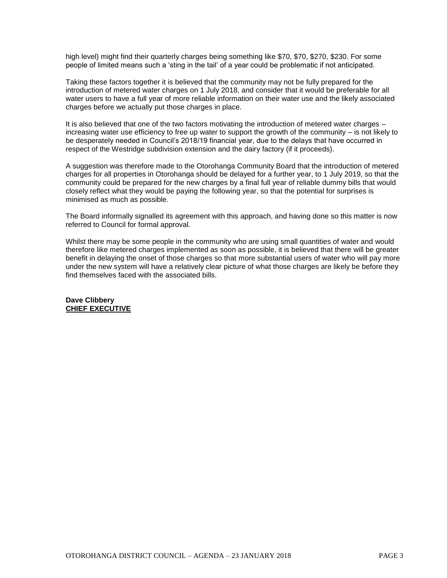high level) might find their quarterly charges being something like \$70, \$70, \$270, \$230. For some people of limited means such a 'sting in the tail' of a year could be problematic if not anticipated.

Taking these factors together it is believed that the community may not be fully prepared for the introduction of metered water charges on 1 July 2018, and consider that it would be preferable for all water users to have a full year of more reliable information on their water use and the likely associated charges before we actually put those charges in place.

It is also believed that one of the two factors motivating the introduction of metered water charges increasing water use efficiency to free up water to support the growth of the community – is not likely to be desperately needed in Council's 2018/19 financial year, due to the delays that have occurred in respect of the Westridge subdivision extension and the dairy factory (if it proceeds).

A suggestion was therefore made to the Otorohanga Community Board that the introduction of metered charges for all properties in Otorohanga should be delayed for a further year, to 1 July 2019, so that the community could be prepared for the new charges by a final full year of reliable dummy bills that would closely reflect what they would be paying the following year, so that the potential for surprises is minimised as much as possible.

The Board informally signalled its agreement with this approach, and having done so this matter is now referred to Council for formal approval.

Whilst there may be some people in the community who are using small quantities of water and would therefore like metered charges implemented as soon as possible, it is believed that there will be greater benefit in delaying the onset of those charges so that more substantial users of water who will pay more under the new system will have a relatively clear picture of what those charges are likely be before they find themselves faced with the associated bills.

**Dave Clibbery CHIEF EXECUTIVE**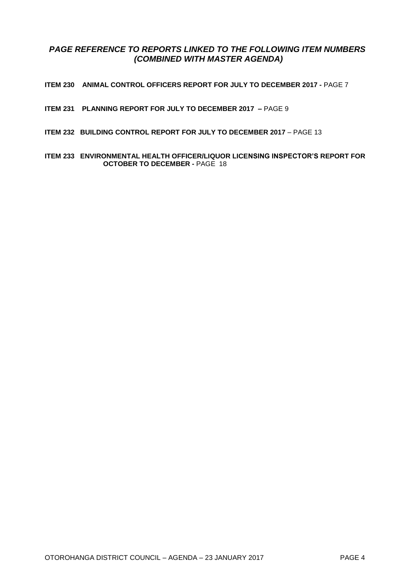#### *PAGE REFERENCE TO REPORTS LINKED TO THE FOLLOWING ITEM NUMBERS (COMBINED WITH MASTER AGENDA)*

**ITEM 230 ANIMAL CONTROL OFFICERS REPORT FOR JULY TO DECEMBER 2017 -** PAGE 7

- **ITEM 231 PLANNING REPORT FOR JULY TO DECEMBER 2017 –** PAGE 9
- **ITEM 232 BUILDING CONTROL REPORT FOR JULY TO DECEMBER 2017** PAGE 13
- **ITEM 233 ENVIRONMENTAL HEALTH OFFICER/LIQUOR LICENSING INSPECTOR'S REPORT FOR OCTOBER TO DECEMBER -** PAGE 18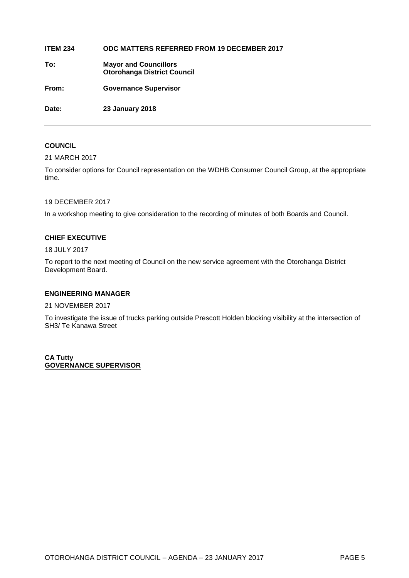#### **ITEM 234 ODC MATTERS REFERRED FROM 19 DECEMBER 2017**

**To: Mayor and Councillors Otorohanga District Council**

**From: Governance Supervisor**

**Date: 23 January 2018**

#### **COUNCIL**

21 MARCH 2017

To consider options for Council representation on the WDHB Consumer Council Group, at the appropriate time.

#### 19 DECEMBER 2017

In a workshop meeting to give consideration to the recording of minutes of both Boards and Council.

#### **CHIEF EXECUTIVE**

18 JULY 2017

To report to the next meeting of Council on the new service agreement with the Otorohanga District Development Board.

#### **ENGINEERING MANAGER**

21 NOVEMBER 2017

To investigate the issue of trucks parking outside Prescott Holden blocking visibility at the intersection of SH3/ Te Kanawa Street

**CA Tutty GOVERNANCE SUPERVISOR**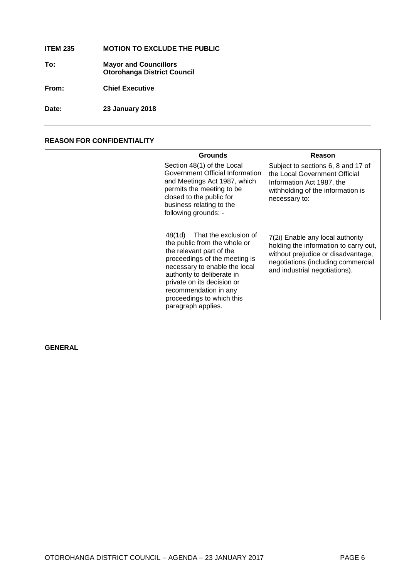#### **ITEM 235 MOTION TO EXCLUDE THE PUBLIC**

**To: Mayor and Councillors Otorohanga District Council**

**From: Chief Executive**

**Date: 23 January 2018**

#### **REASON FOR CONFIDENTIALITY**

| <b>Grounds</b>                                                                                                                                                                                                                                                                                     | Reason                                                                                                                                                                                 |
|----------------------------------------------------------------------------------------------------------------------------------------------------------------------------------------------------------------------------------------------------------------------------------------------------|----------------------------------------------------------------------------------------------------------------------------------------------------------------------------------------|
| Section 48(1) of the Local<br>Government Official Information<br>and Meetings Act 1987, which<br>permits the meeting to be<br>closed to the public for<br>business relating to the<br>following grounds: -                                                                                         | Subject to sections 6, 8 and 17 of<br>the Local Government Official<br>Information Act 1987, the<br>withholding of the information is<br>necessary to:                                 |
| 48(1d) That the exclusion of<br>the public from the whole or<br>the relevant part of the<br>proceedings of the meeting is<br>necessary to enable the local<br>authority to deliberate in<br>private on its decision or<br>recommendation in any<br>proceedings to which this<br>paragraph applies. | 7(2i) Enable any local authority<br>holding the information to carry out,<br>without prejudice or disadvantage,<br>negotiations (including commercial<br>and industrial negotiations). |

**GENERAL**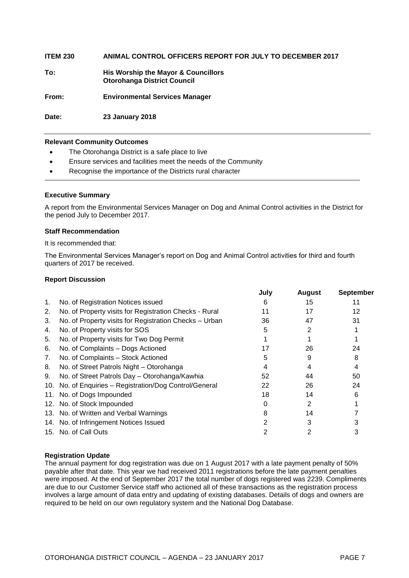**ITEM 230 ANIMAL CONTROL OFFICERS REPORT FOR JULY TO DECEMBER 2017 To: His Worship the Mayor & Councillors Otorohanga District Council From: Environmental Services Manager**

**Date: 23 January 2018**

#### **Relevant Community Outcomes**

- The Otorohanga District is a safe place to live
- Ensure services and facilities meet the needs of the Community
- Recognise the importance of the Districts rural character

#### **Executive Summary**

A report from the Environmental Services Manager on Dog and Animal Control activities in the District for the period July to December 2017.

#### **Staff Recommendation**

It is recommended that:

The Environmental Services Manager's report on Dog and Animal Control activities for third and fourth quarters of 2017 be received.

#### **Report Discussion**

|    |                                                         | July | <b>August</b> | <b>September</b> |
|----|---------------------------------------------------------|------|---------------|------------------|
| 1. | No. of Registration Notices issued                      | 6    | 15            |                  |
| 2. | No. of Property visits for Registration Checks - Rural  | 11   | 17            | 12               |
| 3. | No. of Property visits for Registration Checks - Urban  | 36   | 47            | 31               |
| 4. | No. of Property visits for SOS                          | 5    | 2             |                  |
| 5. | No. of Property visits for Two Dog Permit               |      |               |                  |
| 6. | No. of Complaints - Dogs Actioned                       | 17   | 26            | 24               |
| 7. | No. of Complaints - Stock Actioned                      | 5    | 9             | 8                |
| 8. | No. of Street Patrols Night - Otorohanga                | 4    | 4             |                  |
| 9. | No. of Street Patrols Day - Otorohanga/Kawhia           | 52   | 44            | 50               |
|    | 10. No. of Enquiries - Registration/Dog Control/General | 22   | 26            | 24               |
|    | 11. No. of Dogs Impounded                               | 18   | 14            | 6                |
|    | 12. No. of Stock Impounded                              | 0    | 2             |                  |
|    | 13. No. of Written and Verbal Warnings                  | 8    | 14            |                  |
|    | 14. No. of Infringement Notices Issued                  |      | 3             |                  |
|    | 15. No. of Call Outs                                    |      |               |                  |
|    |                                                         |      |               |                  |

#### **Registration Update**

The annual payment for dog registration was due on 1 August 2017 with a late payment penalty of 50% payable after that date. This year we had received 2011 registrations before the late payment penalties were imposed. At the end of September 2017 the total number of dogs registered was 2239. Compliments are due to our Customer Service staff who actioned all of these transactions as the registration process involves a large amount of data entry and updating of existing databases. Details of dogs and owners are required to be held on our own regulatory system and the National Dog Database.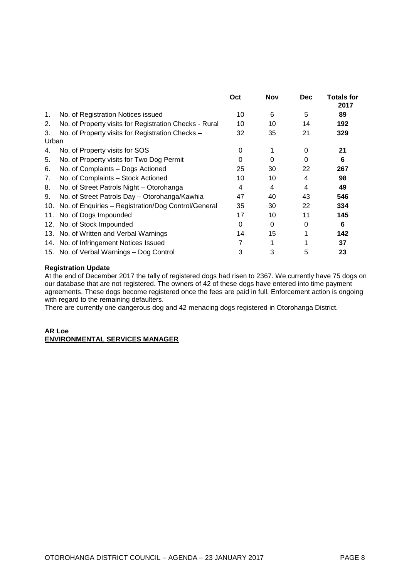|             |                                                        | Oct | <b>Nov</b> | <b>Dec</b> | <b>Totals for</b><br>2017 |
|-------------|--------------------------------------------------------|-----|------------|------------|---------------------------|
| 1.          | No. of Registration Notices issued                     | 10  | 6          | 5          | 89                        |
| 2.          | No. of Property visits for Registration Checks - Rural | 10  | 10         | 14         | 192                       |
| 3.<br>Urban | No. of Property visits for Registration Checks -       | 32  | 35         | 21         | 329                       |
| 4.          | No. of Property visits for SOS                         | 0   |            | 0          | 21                        |
| 5.          | No. of Property visits for Two Dog Permit              | 0   | 0          | 0          | 6                         |
| 6.          | No. of Complaints - Dogs Actioned                      | 25  | 30         | 22         | 267                       |
| 7.          | No. of Complaints - Stock Actioned                     | 10  | 10         | 4          | 98                        |
| 8.          | No. of Street Patrols Night - Otorohanga               | 4   | 4          | 4          | 49                        |
| 9.          | No. of Street Patrols Day - Otorohanga/Kawhia          | 47  | 40         | 43         | 546                       |
| 10.         | No. of Enquiries - Registration/Dog Control/General    | 35  | 30         | 22         | 334                       |
| 11.         | No. of Dogs Impounded                                  | 17  | 10         | 11         | 145                       |
|             | 12. No. of Stock Impounded                             | 0   | 0          | 0          | 6                         |
|             | 13. No. of Written and Verbal Warnings                 | 14  | 15         | 1          | 142                       |
|             | 14. No. of Infringement Notices Issued                 | 7   | 1          |            | 37                        |
|             | 15. No. of Verbal Warnings - Dog Control               | 3   | 3          | 5          | 23                        |

#### **Registration Update**

At the end of December 2017 the tally of registered dogs had risen to 2367. We currently have 75 dogs on our database that are not registered. The owners of 42 of these dogs have entered into time payment agreements. These dogs become registered once the fees are paid in full. Enforcement action is ongoing with regard to the remaining defaulters.

There are currently one dangerous dog and 42 menacing dogs registered in Otorohanga District.

#### **AR Loe ENVIRONMENTAL SERVICES MANAGER**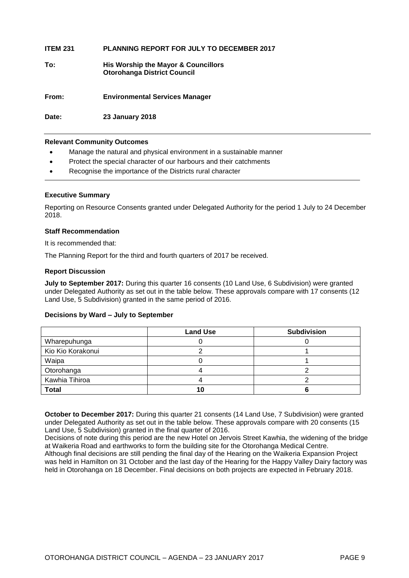| <b>ITEM 231</b> | <b>PLANNING REPORT FOR JULY TO DECEMBER 2017</b>                          |
|-----------------|---------------------------------------------------------------------------|
| To:             | His Worship the Mayor & Councillors<br><b>Otorohanga District Council</b> |
| From:           | <b>Environmental Services Manager</b>                                     |
| Date:           | <b>23 January 2018</b>                                                    |

#### **Relevant Community Outcomes**

- Manage the natural and physical environment in a sustainable manner
- Protect the special character of our harbours and their catchments
- Recognise the importance of the Districts rural character

#### **Executive Summary**

Reporting on Resource Consents granted under Delegated Authority for the period 1 July to 24 December 2018.

#### **Staff Recommendation**

It is recommended that:

The Planning Report for the third and fourth quarters of 2017 be received.

#### **Report Discussion**

**July to September 2017:** During this quarter 16 consents (10 Land Use, 6 Subdivision) were granted under Delegated Authority as set out in the table below. These approvals compare with 17 consents (12 Land Use, 5 Subdivision) granted in the same period of 2016.

#### **Decisions by Ward – July to September**

|                   | <b>Land Use</b> | <b>Subdivision</b> |
|-------------------|-----------------|--------------------|
| Wharepuhunga      |                 |                    |
| Kio Kio Korakonui |                 |                    |
| Waipa             |                 |                    |
| Otorohanga        |                 |                    |
| Kawhia Tihiroa    |                 |                    |
| <b>Total</b>      |                 |                    |

**October to December 2017:** During this quarter 21 consents (14 Land Use, 7 Subdivision) were granted under Delegated Authority as set out in the table below. These approvals compare with 20 consents (15 Land Use, 5 Subdivision) granted in the final quarter of 2016.

Decisions of note during this period are the new Hotel on Jervois Street Kawhia, the widening of the bridge at Waikeria Road and earthworks to form the building site for the Otorohanga Medical Centre. Although final decisions are still pending the final day of the Hearing on the Waikeria Expansion Project was held in Hamilton on 31 October and the last day of the Hearing for the Happy Valley Dairy factory was held in Otorohanga on 18 December. Final decisions on both projects are expected in February 2018.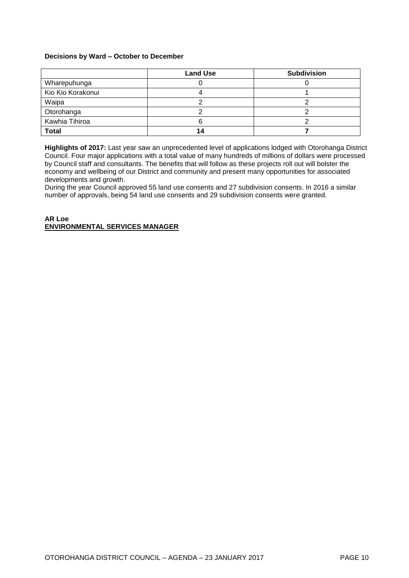#### **Decisions by Ward – October to December**

|                   | <b>Land Use</b> | <b>Subdivision</b> |
|-------------------|-----------------|--------------------|
| Wharepuhunga      |                 |                    |
| Kio Kio Korakonui |                 |                    |
| Waipa             |                 |                    |
| Otorohanga        |                 |                    |
| Kawhia Tihiroa    |                 |                    |
| <b>Total</b>      |                 |                    |

**Highlights of 2017:** Last year saw an unprecedented level of applications lodged with Otorohanga District Council. Four major applications with a total value of many hundreds of millions of dollars were processed by Council staff and consultants. The benefits that will follow as these projects roll out will bolster the economy and wellbeing of our District and community and present many opportunities for associated developments and growth.

During the year Council approved 55 land use consents and 27 subdivision consents. In 2016 a similar number of approvals, being 54 land use consents and 29 subdivision consents were granted.

#### **AR Loe ENVIRONMENTAL SERVICES MANAGER**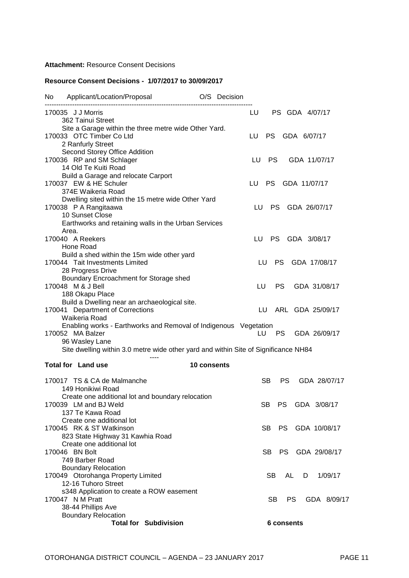#### **Attachment:** Resource Consent Decisions

#### **Resource Consent Decisions - 1/07/2017 to 30/09/2017**

| No. | Applicant/Location/Proposal                                                         | O/S Decision                           |
|-----|-------------------------------------------------------------------------------------|----------------------------------------|
|     | 170035 J J Morris                                                                   | LU<br>PS GDA 4/07/17                   |
|     | 362 Tainui Street                                                                   |                                        |
|     | Site a Garage within the three metre wide Other Yard.                               |                                        |
|     | 170033 OTC Timber Co Ltd                                                            | LU<br>PS.<br>GDA 6/07/17               |
|     | 2 Ranfurly Street                                                                   |                                        |
|     | Second Storey Office Addition                                                       |                                        |
|     | 170036 RP and SM Schlager                                                           | <b>PS</b><br>GDA 11/07/17<br>LU.       |
|     | 14 Old Te Kuiti Road                                                                |                                        |
|     | Build a Garage and relocate Carport                                                 |                                        |
|     | 170037 EW & HE Schuler                                                              | LU –<br>PS GDA 11/07/17                |
|     | 374E Waikeria Road                                                                  |                                        |
|     | Dwelling sited within the 15 metre wide Other Yard                                  |                                        |
|     | 170038 P A Rangitaawa                                                               | LU<br><b>PS</b><br>GDA 26/07/17        |
|     | 10 Sunset Close                                                                     |                                        |
|     | Earthworks and retaining walls in the Urban Services                                |                                        |
|     | Area.                                                                               |                                        |
|     | 170040 A Reekers                                                                    | LU PS<br>GDA 3/08/17                   |
|     | Hone Road                                                                           |                                        |
|     | Build a shed within the 15m wide other yard                                         |                                        |
|     | 170044 Tait Investments Limited                                                     | LU<br><b>PS</b><br>GDA 17/08/17        |
|     | 28 Progress Drive                                                                   |                                        |
|     | Boundary Encroachment for Storage shed                                              |                                        |
|     | 170048 M & J Bell                                                                   | LU<br><b>PS</b><br>GDA 31/08/17        |
|     | 188 Okapu Place                                                                     |                                        |
|     | Build a Dwelling near an archaeological site.                                       |                                        |
|     | 170041 Department of Corrections                                                    | LU ARL GDA 25/09/17                    |
|     | Waikeria Road                                                                       |                                        |
|     | Enabling works - Earthworks and Removal of Indigenous Vegetation                    |                                        |
|     | 170052 MA Balzer                                                                    | GDA 26/09/17<br>LU<br>PS.              |
|     | 96 Wasley Lane                                                                      |                                        |
|     | Site dwelling within 3.0 metre wide other yard and within Site of Significance NH84 |                                        |
|     |                                                                                     |                                        |
|     | <b>Total for Land use</b>                                                           | 10 consents                            |
|     | 170017 TS & CA de Malmanche                                                         | <b>SB</b><br><b>PS</b><br>GDA 28/07/17 |
|     | 149 Honikiwi Road                                                                   |                                        |
|     | Create one additional lot and boundary relocation                                   |                                        |
|     | 170039 LM and BJ Weld                                                               | <b>SB</b><br>GDA 3/08/17<br><b>PS</b>  |
|     | 137 Te Kawa Road                                                                    |                                        |
|     | Create one additional lot                                                           |                                        |
|     | 170045 RK & ST Watkinson                                                            | PS.<br>GDA 10/08/17<br>SB.             |
|     | 823 State Highway 31 Kawhia Road                                                    |                                        |
|     | Create one additional lot                                                           |                                        |
|     | 170046 BN Bolt                                                                      | SB.<br>PS GDA 29/08/17                 |
|     | 749 Barber Road                                                                     |                                        |
|     | <b>Boundary Relocation</b>                                                          |                                        |
|     |                                                                                     | SB.<br>AL.                             |
|     | 170049 Otorohanga Property Limited                                                  | 1/09/17<br>D                           |
|     | 12-16 Tuhoro Street                                                                 |                                        |
|     | s348 Application to create a ROW easement                                           |                                        |
|     | 170047 N M Pratt                                                                    | SB<br><b>PS</b><br>GDA 8/09/17         |
|     | 38-44 Phillips Ave                                                                  |                                        |
|     | <b>Boundary Relocation</b>                                                          |                                        |
|     | <b>Total for Subdivision</b>                                                        | 6 consents                             |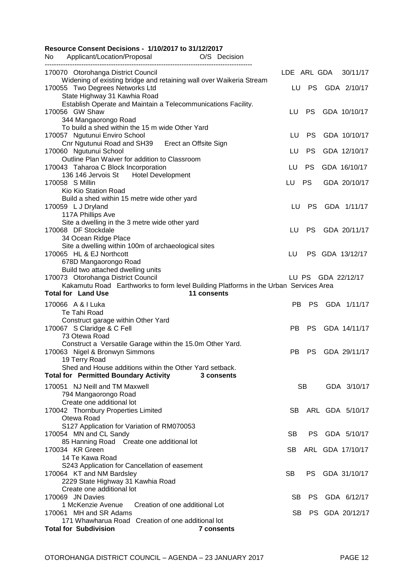| <b>Resource Consent Decisions - 1/10/2017 to 31/12/2017</b><br>Applicant/Location/Proposal<br>No<br>O/S Decision |           |           |                      |
|------------------------------------------------------------------------------------------------------------------|-----------|-----------|----------------------|
|                                                                                                                  |           |           |                      |
| 170070 Otorohanga District Council<br>Widening of existing bridge and retaining wall over Waikeria Stream        |           |           | LDE ARL GDA 30/11/17 |
| 170055 Two Degrees Networks Ltd                                                                                  | LU        |           | PS GDA 2/10/17       |
| State Highway 31 Kawhia Road                                                                                     |           |           |                      |
| Establish Operate and Maintain a Telecommunications Facility.<br>170056 GW Shaw                                  | LU        | <b>PS</b> | GDA 10/10/17         |
| 344 Mangaorongo Road                                                                                             |           |           |                      |
| To build a shed within the 15 m wide Other Yard                                                                  |           |           |                      |
| 170057 Ngutunui Enviro School                                                                                    | LU        | PS.       | GDA 10/10/17         |
| Cnr Ngutunui Road and SH39 Erect an Offsite Sign                                                                 |           |           |                      |
| 170060 Ngutunui School<br>Outline Plan Waiver for addition to Classroom                                          | LU        | <b>PS</b> | GDA 12/10/17         |
| 170043 Taharoa C Block Incorporation                                                                             | LU        | <b>PS</b> | GDA 16/10/17         |
| 136 146 Jervois St Hotel Development                                                                             |           |           |                      |
| 170058 S Millin                                                                                                  | LU        | <b>PS</b> | GDA 20/10/17         |
| Kio Kio Station Road                                                                                             |           |           |                      |
| Build a shed within 15 metre wide other yard<br>170059 L J Dryland                                               | LU.       |           | PS GDA 1/11/17       |
| 117A Phillips Ave                                                                                                |           |           |                      |
| Site a dwelling in the 3 metre wide other yard                                                                   |           |           |                      |
| 170068 DF Stockdale                                                                                              | LU        |           | PS GDA 20/11/17      |
| 34 Ocean Ridge Place                                                                                             |           |           |                      |
| Site a dwelling within 100m of archaeological sites<br>170065 HL & EJ Northcott                                  | LU        |           | PS GDA 13/12/17      |
| 678D Mangaorongo Road                                                                                            |           |           |                      |
| Build two attached dwelling units                                                                                |           |           |                      |
| 170073 Otorohanga District Council                                                                               |           |           | LU PS GDA 22/12/17   |
| Kakamutu Road Earthworks to form level Building Platforms in the Urban Services Area                             |           |           |                      |
| <b>Total for Land Use</b><br>11 consents                                                                         |           |           |                      |
| 170066 A & I Luka<br>Te Tahi Road                                                                                | PB.       |           | PS GDA 1/11/17       |
| Construct garage within Other Yard                                                                               |           |           |                      |
| 170067 S Claridge & C Fell                                                                                       | PB        |           | PS GDA 14/11/17      |
| 73 Otewa Road                                                                                                    |           |           |                      |
| Construct a Versatile Garage within the 15.0m Other Yard.                                                        |           |           |                      |
| 170063 Nigel & Bronwyn Simmons<br>19 Terry Road                                                                  | PB        |           | PS GDA 29/11/17      |
| Shed and House additions within the Other Yard setback.                                                          |           |           |                      |
| <b>Total for Permitted Boundary Activity</b><br>3 consents                                                       |           |           |                      |
| 170051 NJ Neill and TM Maxwell                                                                                   |           | SB.       | GDA 3/10/17          |
| 794 Mangaorongo Road                                                                                             |           |           |                      |
| Create one additional lot                                                                                        |           |           |                      |
| 170042 Thornbury Properties Limited                                                                              |           |           | SB ARL GDA 5/10/17   |
| Otewa Road                                                                                                       |           |           |                      |
| S127 Application for Variation of RM070053<br>170054 MN and CL Sandy                                             | SB.       |           | PS GDA 5/10/17       |
| 85 Hanning Road Create one additional lot                                                                        |           |           |                      |
| 170034 KR Green                                                                                                  | SB.       |           | ARL GDA 17/10/17     |
| 14 Te Kawa Road                                                                                                  |           |           |                      |
| S243 Application for Cancellation of easement                                                                    | SB.       |           | PS GDA 31/10/17      |
| 170064 KT and NM Bardsley<br>2229 State Highway 31 Kawhia Road                                                   |           |           |                      |
| Create one additional lot                                                                                        |           |           |                      |
| 170069 JN Davies                                                                                                 | <b>SB</b> |           | PS GDA 6/12/17       |
| 1 McKenzie Avenue<br>Creation of one additional Lot                                                              |           |           |                      |
| 170061 MH and SR Adams<br>171 Whawharua Road Creation of one additional lot                                      | SB        |           | PS GDA 20/12/17      |
| <b>Total for Subdivision</b><br>7 consents                                                                       |           |           |                      |
|                                                                                                                  |           |           |                      |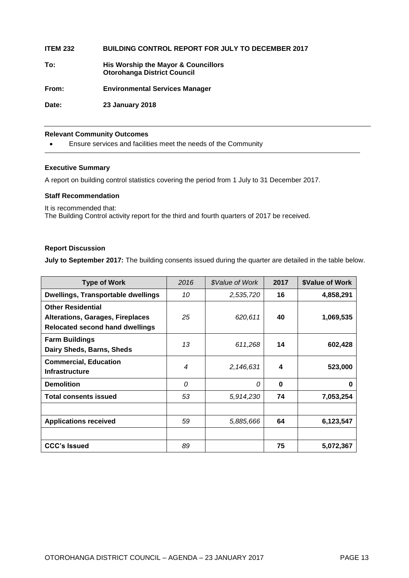| <b>ITEM 232</b> | <b>BUILDING CONTROL REPORT FOR JULY TO DECEMBER 2017</b>                  |
|-----------------|---------------------------------------------------------------------------|
| To:             | His Worship the Mayor & Councillors<br><b>Otorohanga District Council</b> |
| From:           | <b>Environmental Services Manager</b>                                     |
| Date:           | <b>23 January 2018</b>                                                    |
|                 |                                                                           |

#### **Relevant Community Outcomes**

Ensure services and facilities meet the needs of the Community

#### **Executive Summary**

A report on building control statistics covering the period from 1 July to 31 December 2017.

#### **Staff Recommendation**

It is recommended that: The Building Control activity report for the third and fourth quarters of 2017 be received.

#### **Report Discussion**

**July to September 2017:** The building consents issued during the quarter are detailed in the table below.

| <b>Type of Work</b>                                                                                           | 2016 | \$Value of Work | 2017     | <b>\$Value of Work</b> |
|---------------------------------------------------------------------------------------------------------------|------|-----------------|----------|------------------------|
| <b>Dwellings, Transportable dwellings</b>                                                                     | 10   | 2,535,720       | 16       | 4,858,291              |
| <b>Other Residential</b><br><b>Alterations, Garages, Fireplaces</b><br><b>Relocated second hand dwellings</b> | 25   | 620,611         | 40       | 1,069,535              |
| <b>Farm Buildings</b><br>Dairy Sheds, Barns, Sheds                                                            | 13   | 611,268         | 14       | 602,428                |
| <b>Commercial, Education</b><br><b>Infrastructure</b>                                                         | 4    | 2,146,631       | 4        | 523,000                |
| <b>Demolition</b>                                                                                             | 0    | 0               | $\bf{0}$ | 0                      |
| <b>Total consents issued</b>                                                                                  | 53   | 5,914,230       | 74       | 7,053,254              |
|                                                                                                               |      |                 |          |                        |
| <b>Applications received</b>                                                                                  | 59   | 5,885,666       | 64       | 6,123,547              |
|                                                                                                               |      |                 |          |                        |
| <b>CCC's Issued</b>                                                                                           | 89   |                 | 75       | 5,072,367              |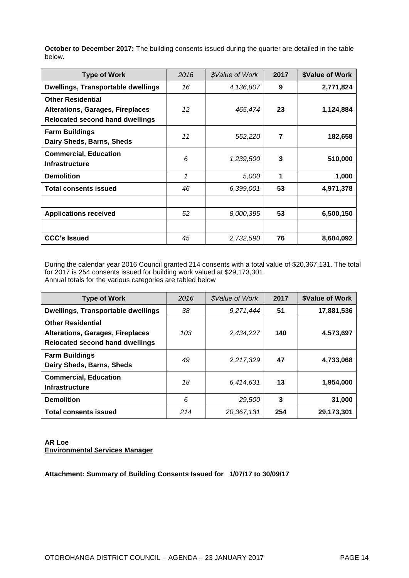| <b>Type of Work</b>                                                                                           | 2016 | \$Value of Work | 2017 | <b>\$Value of Work</b> |
|---------------------------------------------------------------------------------------------------------------|------|-----------------|------|------------------------|
| <b>Dwellings, Transportable dwellings</b>                                                                     | 16   | 4,136,807       | 9    | 2,771,824              |
| <b>Other Residential</b><br><b>Alterations, Garages, Fireplaces</b><br><b>Relocated second hand dwellings</b> | 12   | 465,474         | 23   | 1,124,884              |
| <b>Farm Buildings</b><br>Dairy Sheds, Barns, Sheds                                                            | 11   | 552,220         | 7    | 182,658                |
| <b>Commercial, Education</b><br><b>Infrastructure</b>                                                         | 6    | 1,239,500       | 3    | 510,000                |
| <b>Demolition</b>                                                                                             | 1    | 5,000           | 1    | 1,000                  |
| <b>Total consents issued</b>                                                                                  | 46   | 6,399,001       | 53   | 4,971,378              |
|                                                                                                               |      |                 |      |                        |
| <b>Applications received</b>                                                                                  | 52   | 8,000,395       | 53   | 6,500,150              |
|                                                                                                               |      |                 |      |                        |
| <b>CCC's Issued</b>                                                                                           | 45   | 2,732,590       | 76   | 8,604,092              |

**October to December 2017:** The building consents issued during the quarter are detailed in the table below.

During the calendar year 2016 Council granted 214 consents with a total value of \$20,367,131. The total for 2017 is 254 consents issued for building work valued at \$29,173,301. Annual totals for the various categories are tabled below

| <b>Type of Work</b>                                                                                           | 2016 | \$Value of Work | 2017 | <b>\$Value of Work</b> |
|---------------------------------------------------------------------------------------------------------------|------|-----------------|------|------------------------|
| Dwellings, Transportable dwellings                                                                            | 38   | 9,271,444       | 51   | 17,881,536             |
| <b>Other Residential</b><br><b>Alterations, Garages, Fireplaces</b><br><b>Relocated second hand dwellings</b> | 103  | 2,434,227       | 140  | 4,573,697              |
| <b>Farm Buildings</b><br>Dairy Sheds, Barns, Sheds                                                            | 49   | 2,217,329       | 47   | 4,733,068              |
| <b>Commercial, Education</b><br><b>Infrastructure</b>                                                         | 18   | 6,414,631       | 13   | 1,954,000              |
| <b>Demolition</b>                                                                                             | 6    | 29,500          | 3    | 31,000                 |
| <b>Total consents issued</b>                                                                                  | 214  | 20,367,131      | 254  | 29,173,301             |

**AR Loe Environmental Services Manager**

**Attachment: Summary of Building Consents Issued for 1/07/17 to 30/09/17**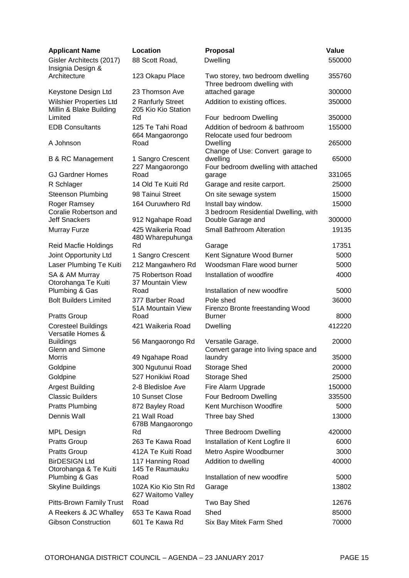| <b>Applicant Name</b>                                           | Location                                    | <b>Proposal</b>                                                      | Value           |
|-----------------------------------------------------------------|---------------------------------------------|----------------------------------------------------------------------|-----------------|
| Gisler Architects (2017)<br>Insignia Design &                   | 88 Scott Road,                              | <b>Dwelling</b>                                                      | 550000          |
| Architecture                                                    | 123 Okapu Place                             | Two storey, two bedroom dwelling<br>Three bedroom dwelling with      | 355760          |
| Keystone Design Ltd                                             | 23 Thomson Ave                              | attached garage                                                      | 300000          |
| <b>Wilshier Properties Ltd</b><br>Millin & Blake Building       | 2 Ranfurly Street<br>205 Kio Kio Station    | Addition to existing offices.                                        | 350000          |
| Limited                                                         | Rd                                          | Four bedroom Dwelling                                                | 350000          |
| <b>EDB Consultants</b>                                          | 125 Te Tahi Road<br>664 Mangaorongo         | Addition of bedroom & bathroom<br>Relocate used four bedroom         | 155000          |
| A Johnson                                                       | Road                                        | Dwelling<br>Change of Use: Convert garage to                         | 265000          |
| <b>B &amp; RC Management</b>                                    | 1 Sangro Crescent<br>227 Mangaorongo        | dwelling<br>Four bedroom dwelling with attached                      | 65000           |
| <b>GJ Gardner Homes</b>                                         | Road                                        | garage                                                               | 331065          |
| R Schlager                                                      | 14 Old Te Kuiti Rd                          | Garage and resite carport.                                           | 25000           |
| <b>Steenson Plumbing</b>                                        | 98 Tainui Street                            | On site sewage system                                                | 15000           |
| Roger Ramsey<br>Coralie Robertson and                           | 164 Ouruwhero Rd                            | Install bay window.<br>3 bedroom Residential Dwelling, with          | 15000           |
| <b>Jeff Snackers</b>                                            | 912 Ngahape Road                            | Double Garage and                                                    | 300000          |
| Murray Furze                                                    | 425 Waikeria Road<br>480 Wharepuhunga       | Small Bathroom Alteration                                            | 19135           |
| Reid Macfie Holdings                                            | Rd                                          | Garage                                                               | 17351           |
| Joint Opportunity Ltd                                           | 1 Sangro Crescent                           | Kent Signature Wood Burner                                           | 5000            |
| Laser Plumbing Te Kuiti                                         | 212 Mangawhero Rd                           | Woodsman Flare wood burner                                           | 5000            |
| SA & AM Murray<br>Otorohanga Te Kuiti                           | 75 Robertson Road<br>37 Mountain View       | Installation of woodfire                                             | 4000            |
| Plumbing & Gas                                                  | Road                                        | Installation of new woodfire                                         | 5000            |
| <b>Bolt Builders Limited</b>                                    | 377 Barber Road<br>51A Mountain View        | Pole shed<br>Firenzo Bronte freestanding Wood                        | 36000           |
| <b>Pratts Group</b>                                             | Road                                        | Burner                                                               | 8000            |
| <b>Coresteel Buildings</b><br>Versatile Homes &                 | 421 Waikeria Road                           | Dwelling                                                             | 412220<br>20000 |
| <b>Buildings</b><br><b>Glenn and Simone</b><br><b>Morris</b>    | 56 Mangaorongo Rd<br>49 Ngahape Road        | Versatile Garage.<br>Convert garage into living space and<br>laundry | 35000           |
| Goldpine                                                        | 300 Ngutunui Road                           | Storage Shed                                                         | 20000           |
|                                                                 | 527 Honikiwi Road                           |                                                                      | 25000           |
| Goldpine<br><b>Argest Building</b>                              | 2-8 Bledisloe Ave                           | Storage Shed<br>Fire Alarm Upgrade                                   | 150000          |
| <b>Classic Builders</b>                                         |                                             |                                                                      |                 |
|                                                                 | 10 Sunset Close                             | Four Bedroom Dwelling<br>Kent Murchison Woodfire                     | 335500          |
| <b>Pratts Plumbing</b>                                          | 872 Bayley Road                             |                                                                      | 5000            |
| Dennis Wall                                                     | 21 Wall Road<br>678B Mangaorongo<br>Rd      | Three bay Shed<br>Three Bedroom Dwelling                             | 13000<br>420000 |
| <b>MPL Design</b>                                               |                                             |                                                                      |                 |
| <b>Pratts Group</b>                                             | 263 Te Kawa Road                            | Installation of Kent Logfire II                                      | 6000            |
| <b>Pratts Group</b>                                             | 412A Te Kuiti Road                          | Metro Aspire Woodburner                                              | 3000            |
| <b>BirDESIGN Ltd</b><br>Otorohanga & Te Kuiti<br>Plumbing & Gas | 117 Hanning Road<br>145 Te Raumauku<br>Road | Addition to dwelling<br>Installation of new woodfire                 | 40000<br>5000   |
| <b>Skyline Buildings</b>                                        | 102A Kio Kio Stn Rd                         | Garage                                                               | 13802           |
| Pitts-Brown Family Trust                                        | 627 Waitomo Valley<br>Road                  | Two Bay Shed                                                         | 12676           |
| A Reekers & JC Whalley                                          | 653 Te Kawa Road                            | Shed                                                                 | 85000           |
| <b>Gibson Construction</b>                                      | 601 Te Kawa Rd                              | Six Bay Mitek Farm Shed                                              | 70000           |
|                                                                 |                                             |                                                                      |                 |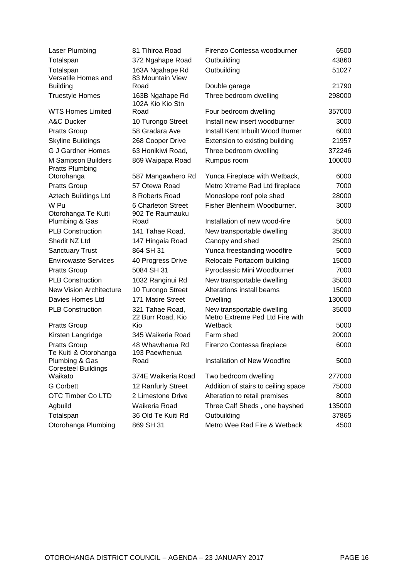| 43860<br>Totalspan<br>372 Ngahape Road<br>Outbuilding<br>163A Ngahape Rd<br>Outbuilding<br>51027<br>Totalspan<br>Versatile Homes and<br>83 Mountain View<br>21790<br><b>Building</b><br>Road<br>Double garage<br>163B Ngahape Rd<br>Three bedroom dwelling<br>298000<br><b>Truestyle Homes</b><br>102A Kio Kio Stn<br><b>WTS Homes Limited</b><br>357000<br>Road<br>Four bedroom dwelling<br>A&C Ducker<br>Install new insert woodburner<br>3000<br>10 Turongo Street<br><b>Pratts Group</b><br>58 Gradara Ave<br>Install Kent Inbuilt Wood Burner<br>6000<br><b>Skyline Buildings</b><br>21957<br>268 Cooper Drive<br>Extension to existing building<br><b>G J Gardner Homes</b><br>Three bedroom dwelling<br>372246<br>63 Honikiwi Road,<br>M Sampson Builders<br>100000<br>869 Waipapa Road<br>Rumpus room<br><b>Pratts Plumbing</b><br>587 Mangawhero Rd<br>Otorohanga<br>Yunca Fireplace with Wetback,<br>6000<br><b>Pratts Group</b><br>57 Otewa Road<br>Metro Xtreme Rad Ltd fireplace<br>7000<br>Aztech Buildings Ltd<br>8 Roberts Road<br>Monoslope roof pole shed<br>28000<br>W Pu<br>Fisher Blenheim Woodburner.<br>6 Charleton Street<br>3000<br>Otorohanga Te Kuiti<br>902 Te Raumauku<br>Plumbing & Gas<br>Installation of new wood-fire<br>Road<br>5000<br><b>PLB Construction</b><br>141 Tahae Road,<br>35000<br>New transportable dwelling<br>Shedit NZ Ltd<br>147 Hingaia Road<br>25000<br>Canopy and shed<br><b>Sanctuary Trust</b><br>864 SH 31<br>Yunca freestanding woodfire<br>5000<br><b>Envirowaste Services</b><br>Relocate Portacom building<br>15000<br>40 Progress Drive<br>5084 SH 31<br>Pyroclassic Mini Woodburner<br>7000<br><b>Pratts Group</b><br><b>PLB Construction</b><br>New transportable dwelling<br>35000<br>1032 Ranginui Rd<br><b>New Vision Architecture</b><br>10 Turongo Street<br>Alterations install beams<br>15000<br>Davies Homes Ltd<br>171 Matire Street<br>130000<br><b>Dwelling</b><br><b>PLB Construction</b><br>321 Tahae Road,<br>35000<br>New transportable dwelling<br>Metro Extreme Ped Ltd Fire with<br>22 Burr Road, Kio<br>Wetback<br>5000<br><b>Pratts Group</b><br>Kio<br>Farm shed<br>Kirsten Langridge<br>20000<br>345 Waikeria Road<br>48 Whawharua Rd<br>Firenzo Contessa fireplace<br>6000<br><b>Pratts Group</b><br>Te Kuiti & Otorohanga<br>193 Paewhenua<br>Installation of New Woodfire<br>Plumbing & Gas<br>5000<br>Road<br><b>Coresteel Buildings</b><br>Waikato<br>374E Waikeria Road<br>Two bedroom dwelling<br>277000<br><b>G</b> Corbett<br>12 Ranfurly Street<br>Addition of stairs to ceiling space<br>75000<br>OTC Timber Co LTD<br>2 Limestone Drive<br>Alteration to retail premises<br>8000<br>Waikeria Road<br>Three Calf Sheds, one hayshed<br>135000<br>Agbuild<br>36 Old Te Kuiti Rd<br>Totalspan<br>Outbuilding<br>37865 | Laser Plumbing      | 81 Tihiroa Road | Firenzo Contessa woodburner  | 6500 |
|----------------------------------------------------------------------------------------------------------------------------------------------------------------------------------------------------------------------------------------------------------------------------------------------------------------------------------------------------------------------------------------------------------------------------------------------------------------------------------------------------------------------------------------------------------------------------------------------------------------------------------------------------------------------------------------------------------------------------------------------------------------------------------------------------------------------------------------------------------------------------------------------------------------------------------------------------------------------------------------------------------------------------------------------------------------------------------------------------------------------------------------------------------------------------------------------------------------------------------------------------------------------------------------------------------------------------------------------------------------------------------------------------------------------------------------------------------------------------------------------------------------------------------------------------------------------------------------------------------------------------------------------------------------------------------------------------------------------------------------------------------------------------------------------------------------------------------------------------------------------------------------------------------------------------------------------------------------------------------------------------------------------------------------------------------------------------------------------------------------------------------------------------------------------------------------------------------------------------------------------------------------------------------------------------------------------------------------------------------------------------------------------------------------------------------------------------------------------------------------------------------------------------------------------------------------------------------------------------------------------------------------------------------------------------------------------------------------------------------------------------------------------------------------------------------------------|---------------------|-----------------|------------------------------|------|
|                                                                                                                                                                                                                                                                                                                                                                                                                                                                                                                                                                                                                                                                                                                                                                                                                                                                                                                                                                                                                                                                                                                                                                                                                                                                                                                                                                                                                                                                                                                                                                                                                                                                                                                                                                                                                                                                                                                                                                                                                                                                                                                                                                                                                                                                                                                                                                                                                                                                                                                                                                                                                                                                                                                                                                                                                      |                     |                 |                              |      |
|                                                                                                                                                                                                                                                                                                                                                                                                                                                                                                                                                                                                                                                                                                                                                                                                                                                                                                                                                                                                                                                                                                                                                                                                                                                                                                                                                                                                                                                                                                                                                                                                                                                                                                                                                                                                                                                                                                                                                                                                                                                                                                                                                                                                                                                                                                                                                                                                                                                                                                                                                                                                                                                                                                                                                                                                                      |                     |                 |                              |      |
|                                                                                                                                                                                                                                                                                                                                                                                                                                                                                                                                                                                                                                                                                                                                                                                                                                                                                                                                                                                                                                                                                                                                                                                                                                                                                                                                                                                                                                                                                                                                                                                                                                                                                                                                                                                                                                                                                                                                                                                                                                                                                                                                                                                                                                                                                                                                                                                                                                                                                                                                                                                                                                                                                                                                                                                                                      |                     |                 |                              |      |
|                                                                                                                                                                                                                                                                                                                                                                                                                                                                                                                                                                                                                                                                                                                                                                                                                                                                                                                                                                                                                                                                                                                                                                                                                                                                                                                                                                                                                                                                                                                                                                                                                                                                                                                                                                                                                                                                                                                                                                                                                                                                                                                                                                                                                                                                                                                                                                                                                                                                                                                                                                                                                                                                                                                                                                                                                      |                     |                 |                              |      |
|                                                                                                                                                                                                                                                                                                                                                                                                                                                                                                                                                                                                                                                                                                                                                                                                                                                                                                                                                                                                                                                                                                                                                                                                                                                                                                                                                                                                                                                                                                                                                                                                                                                                                                                                                                                                                                                                                                                                                                                                                                                                                                                                                                                                                                                                                                                                                                                                                                                                                                                                                                                                                                                                                                                                                                                                                      |                     |                 |                              |      |
|                                                                                                                                                                                                                                                                                                                                                                                                                                                                                                                                                                                                                                                                                                                                                                                                                                                                                                                                                                                                                                                                                                                                                                                                                                                                                                                                                                                                                                                                                                                                                                                                                                                                                                                                                                                                                                                                                                                                                                                                                                                                                                                                                                                                                                                                                                                                                                                                                                                                                                                                                                                                                                                                                                                                                                                                                      |                     |                 |                              |      |
|                                                                                                                                                                                                                                                                                                                                                                                                                                                                                                                                                                                                                                                                                                                                                                                                                                                                                                                                                                                                                                                                                                                                                                                                                                                                                                                                                                                                                                                                                                                                                                                                                                                                                                                                                                                                                                                                                                                                                                                                                                                                                                                                                                                                                                                                                                                                                                                                                                                                                                                                                                                                                                                                                                                                                                                                                      |                     |                 |                              |      |
|                                                                                                                                                                                                                                                                                                                                                                                                                                                                                                                                                                                                                                                                                                                                                                                                                                                                                                                                                                                                                                                                                                                                                                                                                                                                                                                                                                                                                                                                                                                                                                                                                                                                                                                                                                                                                                                                                                                                                                                                                                                                                                                                                                                                                                                                                                                                                                                                                                                                                                                                                                                                                                                                                                                                                                                                                      |                     |                 |                              |      |
|                                                                                                                                                                                                                                                                                                                                                                                                                                                                                                                                                                                                                                                                                                                                                                                                                                                                                                                                                                                                                                                                                                                                                                                                                                                                                                                                                                                                                                                                                                                                                                                                                                                                                                                                                                                                                                                                                                                                                                                                                                                                                                                                                                                                                                                                                                                                                                                                                                                                                                                                                                                                                                                                                                                                                                                                                      |                     |                 |                              |      |
|                                                                                                                                                                                                                                                                                                                                                                                                                                                                                                                                                                                                                                                                                                                                                                                                                                                                                                                                                                                                                                                                                                                                                                                                                                                                                                                                                                                                                                                                                                                                                                                                                                                                                                                                                                                                                                                                                                                                                                                                                                                                                                                                                                                                                                                                                                                                                                                                                                                                                                                                                                                                                                                                                                                                                                                                                      |                     |                 |                              |      |
|                                                                                                                                                                                                                                                                                                                                                                                                                                                                                                                                                                                                                                                                                                                                                                                                                                                                                                                                                                                                                                                                                                                                                                                                                                                                                                                                                                                                                                                                                                                                                                                                                                                                                                                                                                                                                                                                                                                                                                                                                                                                                                                                                                                                                                                                                                                                                                                                                                                                                                                                                                                                                                                                                                                                                                                                                      |                     |                 |                              |      |
|                                                                                                                                                                                                                                                                                                                                                                                                                                                                                                                                                                                                                                                                                                                                                                                                                                                                                                                                                                                                                                                                                                                                                                                                                                                                                                                                                                                                                                                                                                                                                                                                                                                                                                                                                                                                                                                                                                                                                                                                                                                                                                                                                                                                                                                                                                                                                                                                                                                                                                                                                                                                                                                                                                                                                                                                                      |                     |                 |                              |      |
|                                                                                                                                                                                                                                                                                                                                                                                                                                                                                                                                                                                                                                                                                                                                                                                                                                                                                                                                                                                                                                                                                                                                                                                                                                                                                                                                                                                                                                                                                                                                                                                                                                                                                                                                                                                                                                                                                                                                                                                                                                                                                                                                                                                                                                                                                                                                                                                                                                                                                                                                                                                                                                                                                                                                                                                                                      |                     |                 |                              |      |
|                                                                                                                                                                                                                                                                                                                                                                                                                                                                                                                                                                                                                                                                                                                                                                                                                                                                                                                                                                                                                                                                                                                                                                                                                                                                                                                                                                                                                                                                                                                                                                                                                                                                                                                                                                                                                                                                                                                                                                                                                                                                                                                                                                                                                                                                                                                                                                                                                                                                                                                                                                                                                                                                                                                                                                                                                      |                     |                 |                              |      |
|                                                                                                                                                                                                                                                                                                                                                                                                                                                                                                                                                                                                                                                                                                                                                                                                                                                                                                                                                                                                                                                                                                                                                                                                                                                                                                                                                                                                                                                                                                                                                                                                                                                                                                                                                                                                                                                                                                                                                                                                                                                                                                                                                                                                                                                                                                                                                                                                                                                                                                                                                                                                                                                                                                                                                                                                                      |                     |                 |                              |      |
|                                                                                                                                                                                                                                                                                                                                                                                                                                                                                                                                                                                                                                                                                                                                                                                                                                                                                                                                                                                                                                                                                                                                                                                                                                                                                                                                                                                                                                                                                                                                                                                                                                                                                                                                                                                                                                                                                                                                                                                                                                                                                                                                                                                                                                                                                                                                                                                                                                                                                                                                                                                                                                                                                                                                                                                                                      |                     |                 |                              |      |
|                                                                                                                                                                                                                                                                                                                                                                                                                                                                                                                                                                                                                                                                                                                                                                                                                                                                                                                                                                                                                                                                                                                                                                                                                                                                                                                                                                                                                                                                                                                                                                                                                                                                                                                                                                                                                                                                                                                                                                                                                                                                                                                                                                                                                                                                                                                                                                                                                                                                                                                                                                                                                                                                                                                                                                                                                      |                     |                 |                              |      |
|                                                                                                                                                                                                                                                                                                                                                                                                                                                                                                                                                                                                                                                                                                                                                                                                                                                                                                                                                                                                                                                                                                                                                                                                                                                                                                                                                                                                                                                                                                                                                                                                                                                                                                                                                                                                                                                                                                                                                                                                                                                                                                                                                                                                                                                                                                                                                                                                                                                                                                                                                                                                                                                                                                                                                                                                                      |                     |                 |                              |      |
|                                                                                                                                                                                                                                                                                                                                                                                                                                                                                                                                                                                                                                                                                                                                                                                                                                                                                                                                                                                                                                                                                                                                                                                                                                                                                                                                                                                                                                                                                                                                                                                                                                                                                                                                                                                                                                                                                                                                                                                                                                                                                                                                                                                                                                                                                                                                                                                                                                                                                                                                                                                                                                                                                                                                                                                                                      |                     |                 |                              |      |
|                                                                                                                                                                                                                                                                                                                                                                                                                                                                                                                                                                                                                                                                                                                                                                                                                                                                                                                                                                                                                                                                                                                                                                                                                                                                                                                                                                                                                                                                                                                                                                                                                                                                                                                                                                                                                                                                                                                                                                                                                                                                                                                                                                                                                                                                                                                                                                                                                                                                                                                                                                                                                                                                                                                                                                                                                      |                     |                 |                              |      |
|                                                                                                                                                                                                                                                                                                                                                                                                                                                                                                                                                                                                                                                                                                                                                                                                                                                                                                                                                                                                                                                                                                                                                                                                                                                                                                                                                                                                                                                                                                                                                                                                                                                                                                                                                                                                                                                                                                                                                                                                                                                                                                                                                                                                                                                                                                                                                                                                                                                                                                                                                                                                                                                                                                                                                                                                                      |                     |                 |                              |      |
|                                                                                                                                                                                                                                                                                                                                                                                                                                                                                                                                                                                                                                                                                                                                                                                                                                                                                                                                                                                                                                                                                                                                                                                                                                                                                                                                                                                                                                                                                                                                                                                                                                                                                                                                                                                                                                                                                                                                                                                                                                                                                                                                                                                                                                                                                                                                                                                                                                                                                                                                                                                                                                                                                                                                                                                                                      |                     |                 |                              |      |
|                                                                                                                                                                                                                                                                                                                                                                                                                                                                                                                                                                                                                                                                                                                                                                                                                                                                                                                                                                                                                                                                                                                                                                                                                                                                                                                                                                                                                                                                                                                                                                                                                                                                                                                                                                                                                                                                                                                                                                                                                                                                                                                                                                                                                                                                                                                                                                                                                                                                                                                                                                                                                                                                                                                                                                                                                      |                     |                 |                              |      |
|                                                                                                                                                                                                                                                                                                                                                                                                                                                                                                                                                                                                                                                                                                                                                                                                                                                                                                                                                                                                                                                                                                                                                                                                                                                                                                                                                                                                                                                                                                                                                                                                                                                                                                                                                                                                                                                                                                                                                                                                                                                                                                                                                                                                                                                                                                                                                                                                                                                                                                                                                                                                                                                                                                                                                                                                                      |                     |                 |                              |      |
|                                                                                                                                                                                                                                                                                                                                                                                                                                                                                                                                                                                                                                                                                                                                                                                                                                                                                                                                                                                                                                                                                                                                                                                                                                                                                                                                                                                                                                                                                                                                                                                                                                                                                                                                                                                                                                                                                                                                                                                                                                                                                                                                                                                                                                                                                                                                                                                                                                                                                                                                                                                                                                                                                                                                                                                                                      |                     |                 |                              |      |
|                                                                                                                                                                                                                                                                                                                                                                                                                                                                                                                                                                                                                                                                                                                                                                                                                                                                                                                                                                                                                                                                                                                                                                                                                                                                                                                                                                                                                                                                                                                                                                                                                                                                                                                                                                                                                                                                                                                                                                                                                                                                                                                                                                                                                                                                                                                                                                                                                                                                                                                                                                                                                                                                                                                                                                                                                      |                     |                 |                              |      |
|                                                                                                                                                                                                                                                                                                                                                                                                                                                                                                                                                                                                                                                                                                                                                                                                                                                                                                                                                                                                                                                                                                                                                                                                                                                                                                                                                                                                                                                                                                                                                                                                                                                                                                                                                                                                                                                                                                                                                                                                                                                                                                                                                                                                                                                                                                                                                                                                                                                                                                                                                                                                                                                                                                                                                                                                                      |                     |                 |                              |      |
|                                                                                                                                                                                                                                                                                                                                                                                                                                                                                                                                                                                                                                                                                                                                                                                                                                                                                                                                                                                                                                                                                                                                                                                                                                                                                                                                                                                                                                                                                                                                                                                                                                                                                                                                                                                                                                                                                                                                                                                                                                                                                                                                                                                                                                                                                                                                                                                                                                                                                                                                                                                                                                                                                                                                                                                                                      |                     |                 |                              |      |
|                                                                                                                                                                                                                                                                                                                                                                                                                                                                                                                                                                                                                                                                                                                                                                                                                                                                                                                                                                                                                                                                                                                                                                                                                                                                                                                                                                                                                                                                                                                                                                                                                                                                                                                                                                                                                                                                                                                                                                                                                                                                                                                                                                                                                                                                                                                                                                                                                                                                                                                                                                                                                                                                                                                                                                                                                      |                     |                 |                              |      |
|                                                                                                                                                                                                                                                                                                                                                                                                                                                                                                                                                                                                                                                                                                                                                                                                                                                                                                                                                                                                                                                                                                                                                                                                                                                                                                                                                                                                                                                                                                                                                                                                                                                                                                                                                                                                                                                                                                                                                                                                                                                                                                                                                                                                                                                                                                                                                                                                                                                                                                                                                                                                                                                                                                                                                                                                                      |                     |                 |                              |      |
|                                                                                                                                                                                                                                                                                                                                                                                                                                                                                                                                                                                                                                                                                                                                                                                                                                                                                                                                                                                                                                                                                                                                                                                                                                                                                                                                                                                                                                                                                                                                                                                                                                                                                                                                                                                                                                                                                                                                                                                                                                                                                                                                                                                                                                                                                                                                                                                                                                                                                                                                                                                                                                                                                                                                                                                                                      |                     |                 |                              |      |
|                                                                                                                                                                                                                                                                                                                                                                                                                                                                                                                                                                                                                                                                                                                                                                                                                                                                                                                                                                                                                                                                                                                                                                                                                                                                                                                                                                                                                                                                                                                                                                                                                                                                                                                                                                                                                                                                                                                                                                                                                                                                                                                                                                                                                                                                                                                                                                                                                                                                                                                                                                                                                                                                                                                                                                                                                      |                     |                 |                              |      |
|                                                                                                                                                                                                                                                                                                                                                                                                                                                                                                                                                                                                                                                                                                                                                                                                                                                                                                                                                                                                                                                                                                                                                                                                                                                                                                                                                                                                                                                                                                                                                                                                                                                                                                                                                                                                                                                                                                                                                                                                                                                                                                                                                                                                                                                                                                                                                                                                                                                                                                                                                                                                                                                                                                                                                                                                                      |                     |                 |                              |      |
|                                                                                                                                                                                                                                                                                                                                                                                                                                                                                                                                                                                                                                                                                                                                                                                                                                                                                                                                                                                                                                                                                                                                                                                                                                                                                                                                                                                                                                                                                                                                                                                                                                                                                                                                                                                                                                                                                                                                                                                                                                                                                                                                                                                                                                                                                                                                                                                                                                                                                                                                                                                                                                                                                                                                                                                                                      |                     |                 |                              |      |
|                                                                                                                                                                                                                                                                                                                                                                                                                                                                                                                                                                                                                                                                                                                                                                                                                                                                                                                                                                                                                                                                                                                                                                                                                                                                                                                                                                                                                                                                                                                                                                                                                                                                                                                                                                                                                                                                                                                                                                                                                                                                                                                                                                                                                                                                                                                                                                                                                                                                                                                                                                                                                                                                                                                                                                                                                      | Otorohanga Plumbing | 869 SH 31       | Metro Wee Rad Fire & Wetback | 4500 |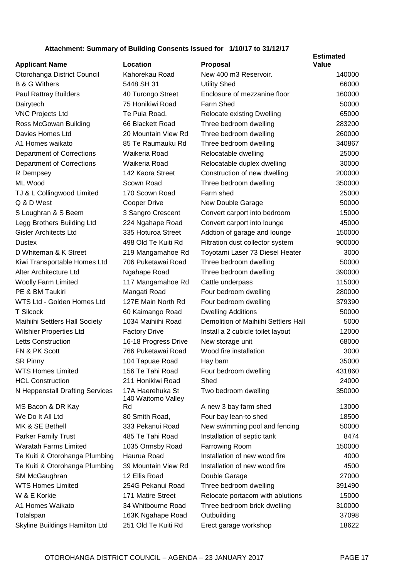#### **Attachment: Summary of Building Consents Issued for 1/10/17 to 31/12/17**

| <b>Applicant Name</b>            | Location                               | <b>Proposal</b>                      | <b>Estimated</b><br><b>Value</b> |
|----------------------------------|----------------------------------------|--------------------------------------|----------------------------------|
| Otorohanga District Council      | Kahorekau Road                         | New 400 m3 Reservoir.                | 140000                           |
| <b>B &amp; G Withers</b>         | 5448 SH 31                             | <b>Utility Shed</b>                  | 66000                            |
| <b>Paul Rattray Builders</b>     | 40 Turongo Street                      | Enclosure of mezzanine floor         | 160000                           |
| Dairytech                        | 75 Honikiwi Road                       | Farm Shed                            | 50000                            |
| <b>VNC Projects Ltd</b>          | Te Puia Road,                          | Relocate existing Dwelling           | 65000                            |
| Ross McGowan Building            | 66 Blackett Road                       | Three bedroom dwelling               | 283200                           |
| Davies Homes Ltd                 | 20 Mountain View Rd                    | Three bedroom dwelling               | 260000                           |
| A1 Homes waikato                 | 85 Te Raumauku Rd                      | Three bedroom dwelling               | 340867                           |
| <b>Department of Corrections</b> | Waikeria Road                          | Relocatable dwelling                 | 25000                            |
| <b>Department of Corrections</b> | Waikeria Road                          | Relocatable duplex dwelling          | 30000                            |
| R Dempsey                        | 142 Kaora Street                       | Construction of new dwelling         | 200000                           |
| ML Wood                          | Scown Road                             | Three bedroom dwelling               | 350000                           |
| TJ & L Collingwood Limited       | 170 Scown Road                         | Farm shed                            | 25000                            |
| Q & D West                       | Cooper Drive                           | New Double Garage                    | 50000                            |
| S Loughran & S Beem              | 3 Sangro Crescent                      | Convert carport into bedroom         | 15000                            |
| Legg Brothers Building Ltd       | 224 Ngahape Road                       | Convert carport into lounge          | 45000                            |
| <b>Gisler Architects Ltd</b>     | 335 Hoturoa Street                     | Addtion of garage and lounge         | 150000                           |
| <b>Dustex</b>                    | 498 Old Te Kuiti Rd                    | Filtration dust collector system     | 900000                           |
| D Whiteman & K Street            | 219 Mangamahoe Rd                      | Toyotami Laser 73 Diesel Heater      | 3000                             |
| Kiwi Transportable Homes Ltd     | 706 Puketawai Road                     | Three bedroom dwelling               | 50000                            |
| Alter Architecture Ltd           | Ngahape Road                           | Three bedroom dwelling               | 390000                           |
| <b>Woolly Farm Limited</b>       | 117 Mangamahoe Rd                      | Cattle underpass                     | 115000                           |
| PE & BM Taukiri                  | Mangati Road                           | Four bedroom dwelling                | 280000                           |
| WTS Ltd - Golden Homes Ltd       | 127E Main North Rd                     | Four bedroom dwelling                | 379390                           |
| <b>T</b> Silcock                 | 60 Kaimango Road                       | <b>Dwelling Additions</b>            | 50000                            |
| Maihiihi Settlers Hall Society   | 1034 Maihiihi Road                     | Demolition of Maihiihi Settlers Hall | 5000                             |
| <b>Wilshier Properties Ltd</b>   | <b>Factory Drive</b>                   | Install a 2 cubicle toilet layout    | 12000                            |
| <b>Letts Construction</b>        | 16-18 Progress Drive                   | New storage unit                     | 68000                            |
| FN & PK Scott                    | 766 Puketawai Road                     | Wood fire installation               | 3000                             |
| <b>SR Pinny</b>                  | 104 Tapuae Road                        | Hay barn                             | 35000                            |
| <b>WTS Homes Limited</b>         | 156 Te Tahi Road                       | Four bedroom dwelling                | 431860                           |
| <b>HCL Construction</b>          | 211 Honikiwi Road                      | Shed                                 | 24000                            |
| N Heppenstall Drafting Services  | 17A Haerehuka St<br>140 Waitomo Valley | Two bedroom dwelling                 | 350000                           |
| MS Bacon & DR Kay                | Rd                                     | A new 3 bay farm shed                | 13000                            |
| We Do It All Ltd                 | 80 Smith Road,                         | Four bay lean-to shed                | 18500                            |
| MK & SE Bethell                  | 333 Pekanui Road                       | New swimming pool and fencing        | 50000                            |
| <b>Parker Family Trust</b>       | 485 Te Tahi Road                       | Installation of septic tank          | 8474                             |
| <b>Waratah Farms Limited</b>     | 1035 Ormsby Road                       | Farrowing Room                       | 150000                           |
| Te Kuiti & Otorohanga Plumbing   | Haurua Road                            | Installation of new wood fire        | 4000                             |
| Te Kuiti & Otorohanga Plumbing   | 39 Mountain View Rd                    | Installation of new wood fire        | 4500                             |
| SM McGaughran                    | 12 Ellis Road                          | Double Garage                        | 27000                            |
| <b>WTS Homes Limited</b>         | 254G Pekanui Road                      | Three bedroom dwelling               | 391490                           |
| W & E Korkie                     | 171 Matire Street                      | Relocate portacom with ablutions     | 15000                            |
| A1 Homes Waikato                 | 34 Whitbourne Road                     | Three bedroom brick dwelling         | 310000                           |
| Totalspan                        | 163K Ngahape Road                      | Outbuilding                          | 37098                            |
| Skyline Buildings Hamilton Ltd   | 251 Old Te Kuiti Rd                    | Erect garage workshop                | 18622                            |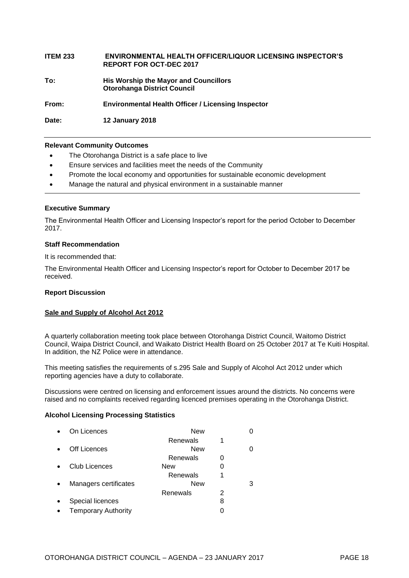#### **ITEM 233 ENVIRONMENTAL HEALTH OFFICER/LIQUOR LICENSING INSPECTOR'S REPORT FOR OCT-DEC 2017**

**To: His Worship the Mayor and Councillors Otorohanga District Council**

**From: Environmental Health Officer / Licensing Inspector**

**Date: 12 January 2018**

#### **Relevant Community Outcomes**

- The Otorohanga District is a safe place to live
- Ensure services and facilities meet the needs of the Community
- Promote the local economy and opportunities for sustainable economic development
- Manage the natural and physical environment in a sustainable manner

#### **Executive Summary**

The Environmental Health Officer and Licensing Inspector's report for the period October to December 2017.

#### **Staff Recommendation**

It is recommended that:

The Environmental Health Officer and Licensing Inspector's report for October to December 2017 be received.

#### **Report Discussion**

#### **Sale and Supply of Alcohol Act 2012**

A quarterly collaboration meeting took place between Otorohanga District Council, Waitomo District Council, Waipa District Council, and Waikato District Health Board on 25 October 2017 at Te Kuiti Hospital. In addition, the NZ Police were in attendance.

This meeting satisfies the requirements of s.295 Sale and Supply of Alcohol Act 2012 under which reporting agencies have a duty to collaborate.

Discussions were centred on licensing and enforcement issues around the districts. No concerns were raised and no complaints received regarding licenced premises operating in the Otorohanga District.

#### **Alcohol Licensing Processing Statistics**

| On Licences                | New        |   |  |
|----------------------------|------------|---|--|
|                            | Renewals   |   |  |
| Off Licences               | <b>New</b> |   |  |
|                            | Renewals   |   |  |
| Club Licences              | New        | 0 |  |
|                            | Renewals   | 1 |  |
| Managers certificates      | New        |   |  |
|                            | Renewals   | 2 |  |
| Special licences           |            | 8 |  |
| <b>Temporary Authority</b> |            |   |  |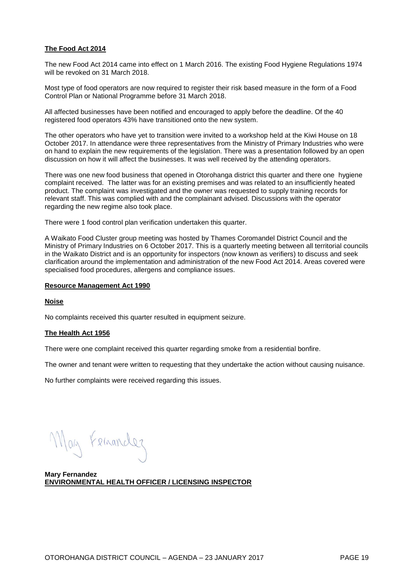#### **The Food Act 2014**

The new Food Act 2014 came into effect on 1 March 2016. The existing Food Hygiene Regulations 1974 will be revoked on 31 March 2018.

Most type of food operators are now required to register their risk based measure in the form of a Food Control Plan or National Programme before 31 March 2018.

All affected businesses have been notified and encouraged to apply before the deadline. Of the 40 registered food operators 43% have transitioned onto the new system.

The other operators who have yet to transition were invited to a workshop held at the Kiwi House on 18 October 2017. In attendance were three representatives from the Ministry of Primary Industries who were on hand to explain the new requirements of the legislation. There was a presentation followed by an open discussion on how it will affect the businesses. It was well received by the attending operators.

There was one new food business that opened in Otorohanga district this quarter and there one hygiene complaint received. The latter was for an existing premises and was related to an insufficiently heated product. The complaint was investigated and the owner was requested to supply training records for relevant staff. This was complied with and the complainant advised. Discussions with the operator regarding the new regime also took place.

There were 1 food control plan verification undertaken this quarter.

A Waikato Food Cluster group meeting was hosted by Thames Coromandel District Council and the Ministry of Primary Industries on 6 October 2017. This is a quarterly meeting between all territorial councils in the Waikato District and is an opportunity for inspectors (now known as verifiers) to discuss and seek clarification around the implementation and administration of the new Food Act 2014. Areas covered were specialised food procedures, allergens and compliance issues.

#### **Resource Management Act 1990**

#### **Noise**

No complaints received this quarter resulted in equipment seizure.

#### **The Health Act 1956**

There were one complaint received this quarter regarding smoke from a residential bonfire.

The owner and tenant were written to requesting that they undertake the action without causing nuisance.

No further complaints were received regarding this issues.

May Feinander

**Mary Fernandez ENVIRONMENTAL HEALTH OFFICER / LICENSING INSPECTOR**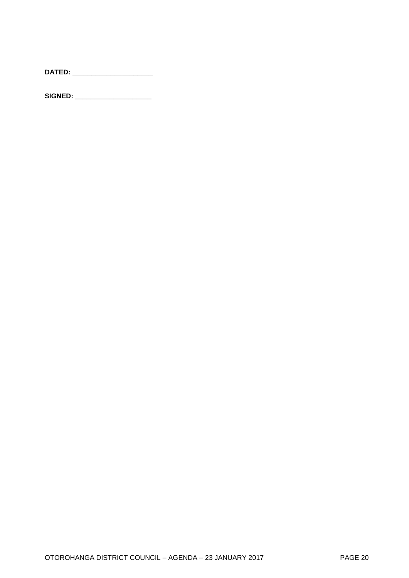|--|--|